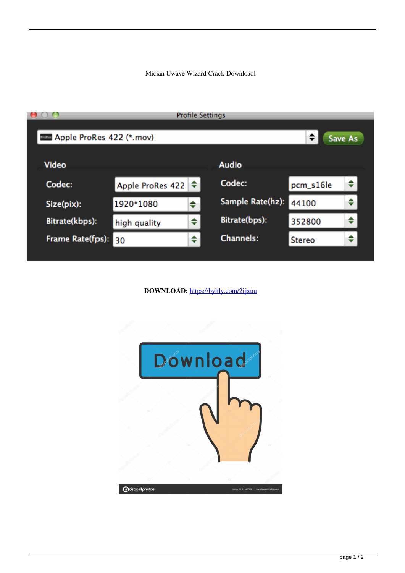## Mician Uwave Wizard Crack Downloadl

|                          | <b>Profile Settings</b> |   |                  |               |   |
|--------------------------|-------------------------|---|------------------|---------------|---|
| Apple ProRes 422 (*.mov) |                         |   |                  | ÷.<br>Save As |   |
| Video                    |                         |   | <b>Audio</b>     |               |   |
| Codec:                   | Apple ProRes 422        |   | Codec:           | pcm_s16le     |   |
| Size(pix):               | 1920*1080               | ÷ | Sample Rate(hz): | 44100         | ÷ |
| Bitrate(kbps):           | high quality            |   | Bitrate(bps):    | 352800        |   |
| Frame Rate(fps):         | 30                      | ♦ | <b>Channels:</b> | <b>Stereo</b> | ◆ |
|                          |                         |   |                  |               |   |

DOWNLOAD: https://byltly.com/2ijxuu